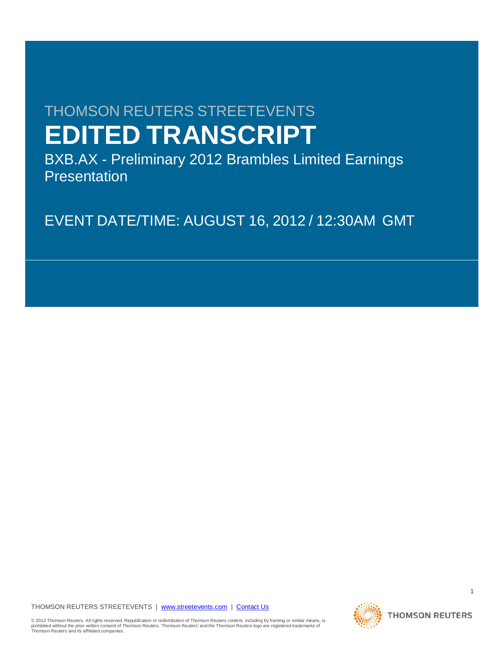# THOMSON REUTERS STREETEVENTS **EDITED TRANSCRIPT**

BXB.AX - Preliminary 2012 Brambles Limited Earnings **Presentation** 

EVENT DATE/TIME: AUGUST 16, 2012 / 12:30AM GMT

THOMSON REUTERS STREETEVENTS | [www.streetevents.com](http://www.streetevents.com/) | [Contact Us](http://www010.streetevents.com/contact.asp)

© 2012 Thomson Reuters. All rights reserved. Republication or redistribution of Thomson Reuters content, including by framing or similar means, is<br>prohibited without the prior written consent of Thomson Reuters. 'Thomson

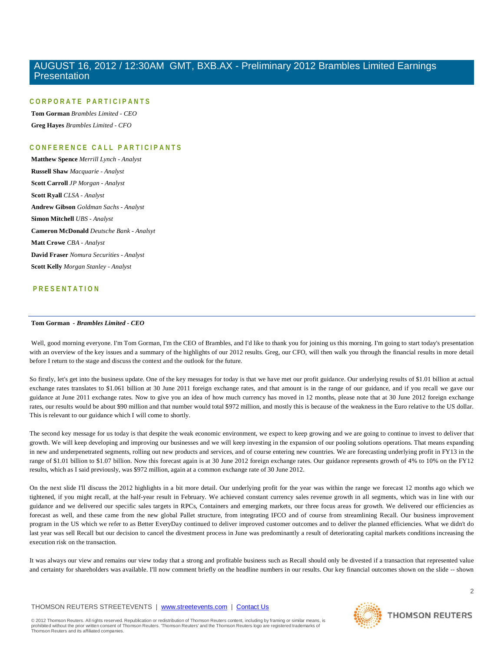#### **CORPORATE PARTICIPANTS**

**Tom Gorman** *Brambles Limited - CEO* **Greg Hayes** *Brambles Limited - CFO*

### **CONFERENCE CALL PART ICIPANTS**

**Matthew Spence** *Merrill Lynch - Analyst* **Russell Shaw** *Macquarie - Analyst* **Scott Carroll** *JP Morgan - Analyst* **Scott Ryall** *CLSA - Analyst* **Andrew Gibson** *Goldman Sachs - Analyst* **Simon Mitchell** *UBS - Analyst* **Cameron McDonald** *Deutsche Bank - Analsyt* **Matt Crowe** *CBA - Analyst* **David Fraser** *Nomura Securities - Analyst* **Scott Kelly** *Morgan Stanley - Analyst*

### **PRESENTATION**

#### **Tom Gorman** *- Brambles Limited - CEO*

Well, good morning everyone. I'm Tom Gorman, I'm the CEO of Brambles, and I'd like to thank you for joining us this morning. I'm going to start today's presentation with an overview of the key issues and a summary of the highlights of our 2012 results. Greg, our CFO, will then walk you through the financial results in more detail before I return to the stage and discuss the context and the outlook for the future.

So firstly, let's get into the business update. One of the key messages for today is that we have met our profit guidance. Our underlying results of \$1.01 billion at actual exchange rates translates to \$1.061 billion at 30 June 2011 foreign exchange rates, and that amount is in the range of our guidance, and if you recall we gave our guidance at June 2011 exchange rates. Now to give you an idea of how much currency has moved in 12 months, please note that at 30 June 2012 foreign exchange rates, our results would be about \$90 million and that number would total \$972 million, and mostly this is because of the weakness in the Euro relative to the US dollar. This is relevant to our guidance which I will come to shortly.

The second key message for us today is that despite the weak economic environment, we expect to keep growing and we are going to continue to invest to deliver that growth. We will keep developing and improving our businesses and we will keep investing in the expansion of our pooling solutions operations. That means expanding in new and underpenetrated segments, rolling out new products and services, and of course entering new countries. We are forecasting underlying profit in FY13 in the range of \$1.01 billion to \$1.07 billion. Now this forecast again is at 30 June 2012 foreign exchange rates. Our guidance represents growth of 4% to 10% on the FY12 results, which as I said previously, was \$972 million, again at a common exchange rate of 30 June 2012.

On the next slide I'll discuss the 2012 highlights in a bit more detail. Our underlying profit for the year was within the range we forecast 12 months ago which we tightened, if you might recall, at the half-year result in February. We achieved constant currency sales revenue growth in all segments, which was in line with our guidance and we delivered our specific sales targets in RPCs, Containers and emerging markets, our three focus areas for growth. We delivered our efficiencies as forecast as well, and these came from the new global Pallet structure, from integrating IFCO and of course from streamlining Recall. Our business improvement program in the US which we refer to as Better EveryDay continued to deliver improved customer outcomes and to deliver the planned efficiencies. What we didn't do last year was sell Recall but our decision to cancel the divestment process in June was predominantly a result of deteriorating capital markets conditions increasing the execution risk on the transaction.

It was always our view and remains our view today that a strong and profitable business such as Recall should only be divested if a transaction that represented value and certainty for shareholders was available. I'll now comment briefly on the headline numbers in our results. Our key financial outcomes shown on the slide -- shown

#### THOMSON REUTERS STREETEVENTS | [www.streetevents.com](http://www.streetevents.com/) | [Contact Us](http://www010.streetevents.com/contact.asp)

© 2012 Thomson Reuters. All rights reserved. Republication or redistribution of Thomson Reuters content, including by framing or similar means, is prohibited without the prior written consent of Thomson Reuters. 'Thomson Reuters' and the Thomson Reuters logo are registered trademarks of Thomson Reuters and its affiliated companies.

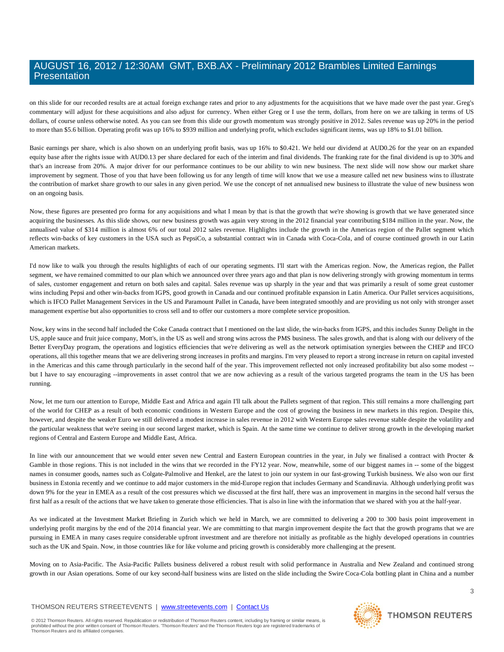on this slide for our recorded results are at actual foreign exchange rates and prior to any adjustments for the acquisitions that we have made over the past year. Greg's commentary will adjust for these acquisitions and also adjust for currency. When either Greg or I use the term, dollars, from here on we are talking in terms of US dollars, of course unless otherwise noted. As you can see from this slide our growth momentum was strongly positive in 2012. Sales revenue was up 20% in the period to more than \$5.6 billion. Operating profit was up 16% to \$939 million and underlying profit, which excludes significant items, was up 18% to \$1.01 billion.

Basic earnings per share, which is also shown on an underlying profit basis, was up 16% to \$0.421. We held our dividend at AUD0.26 for the year on an expanded equity base after the rights issue with AUD0.13 per share declared for each of the interim and final dividends. The franking rate for the final dividend is up to 30% and that's an increase from 20%. A major driver for our performance continues to be our ability to win new business. The next slide will now show our market share improvement by segment. Those of you that have been following us for any length of time will know that we use a measure called net new business wins to illustrate the contribution of market share growth to our sales in any given period. We use the concept of net annualised new business to illustrate the value of new business won on an ongoing basis.

Now, these figures are presented pro forma for any acquisitions and what I mean by that is that the growth that we're showing is growth that we have generated since acquiring the businesses. As this slide shows, our new business growth was again very strong in the 2012 financial year contributing \$184 million in the year. Now, the annualised value of \$314 million is almost 6% of our total 2012 sales revenue. Highlights include the growth in the Americas region of the Pallet segment which reflects win-backs of key customers in the USA such as PepsiCo, a substantial contract win in Canada with Coca-Cola, and of course continued growth in our Latin American markets.

I'd now like to walk you through the results highlights of each of our operating segments. I'll start with the Americas region. Now, the Americas region, the Pallet segment, we have remained committed to our plan which we announced over three years ago and that plan is now delivering strongly with growing momentum in terms of sales, customer engagement and return on both sales and capital. Sales revenue was up sharply in the year and that was primarily a result of some great customer wins including Pepsi and other win-backs from IGPS, good growth in Canada and our continued profitable expansion in Latin America. Our Pallet services acquisitions, which is IFCO Pallet Management Services in the US and Paramount Pallet in Canada, have been integrated smoothly and are providing us not only with stronger asset management expertise but also opportunities to cross sell and to offer our customers a more complete service proposition.

Now, key wins in the second half included the Coke Canada contract that I mentioned on the last slide, the win-backs from IGPS, and this includes Sunny Delight in the US, apple sauce and fruit juice company, Mott's, in the US as well and strong wins across the PMS business. The sales growth, and that is along with our delivery of the Better EveryDay program, the operations and logistics efficiencies that we're delivering as well as the network optimisation synergies between the CHEP and IFCO operations, all this together means that we are delivering strong increases in profits and margins. I'm very pleased to report a strong increase in return on capital invested in the Americas and this came through particularly in the second half of the year. This improvement reflected not only increased profitability but also some modest - but I have to say encouraging --improvements in asset control that we are now achieving as a result of the various targeted programs the team in the US has been running.

Now, let me turn our attention to Europe, Middle East and Africa and again I'll talk about the Pallets segment of that region. This still remains a more challenging part of the world for CHEP as a result of both economic conditions in Western Europe and the cost of growing the business in new markets in this region. Despite this, however, and despite the weaker Euro we still delivered a modest increase in sales revenue in 2012 with Western Europe sales revenue stable despite the volatility and the particular weakness that we're seeing in our second largest market, which is Spain. At the same time we continue to deliver strong growth in the developing market regions of Central and Eastern Europe and Middle East, Africa.

In line with our announcement that we would enter seven new Central and Eastern European countries in the year, in July we finalised a contract with Procter & Gamble in those regions. This is not included in the wins that we recorded in the FY12 year. Now, meanwhile, some of our biggest names in -- some of the biggest names in consumer goods, names such as Colgate-Palmolive and Henkel, are the latest to join our system in our fast-growing Turkish business. We also won our first business in Estonia recently and we continue to add major customers in the mid-Europe region that includes Germany and Scandinavia. Although underlying profit was down 9% for the year in EMEA as a result of the cost pressures which we discussed at the first half, there was an improvement in margins in the second half versus the first half as a result of the actions that we have taken to generate those efficiencies. That is also in line with the information that we shared with you at the half-year.

As we indicated at the Investment Market Briefing in Zurich which we held in March, we are committed to delivering a 200 to 300 basis point improvement in underlying profit margins by the end of the 2014 financial year. We are committing to that margin improvement despite the fact that the growth programs that we are pursuing in EMEA in many cases require considerable upfront investment and are therefore not initially as profitable as the highly developed operations in countries such as the UK and Spain. Now, in those countries like for like volume and pricing growth is considerably more challenging at the present.

Moving on to Asia-Pacific. The Asia-Pacific Pallets business delivered a robust result with solid performance in Australia and New Zealand and continued strong growth in our Asian operations. Some of our key second-half business wins are listed on the slide including the Swire Coca-Cola bottling plant in China and a number

#### THOMSON REUTERS STREETEVENTS | [www.streetevents.com](http://www.streetevents.com/) | [Contact Us](http://www010.streetevents.com/contact.asp)

© 2012 Thomson Reuters. All rights reserved. Republication or redistribution of Thomson Reuters content, including by framing or similar means, is<br>prohibited without the prior written consent of Thomson Reuters: 'Thomson R Thomson Reuters and its affiliated companies.

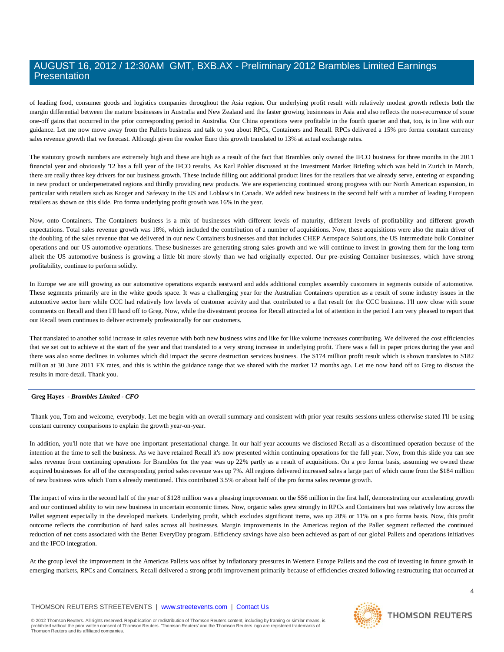of leading food, consumer goods and logistics companies throughout the Asia region. Our underlying profit result with relatively modest growth reflects both the margin differential between the mature businesses in Australia and New Zealand and the faster growing businesses in Asia and also reflects the non-recurrence of some one-off gains that occurred in the prior corresponding period in Australia. Our China operations were profitable in the fourth quarter and that, too, is in line with our guidance. Let me now move away from the Pallets business and talk to you about RPCs, Containers and Recall. RPCs delivered a 15% pro forma constant currency sales revenue growth that we forecast. Although given the weaker Euro this growth translated to 13% at actual exchange rates.

The statutory growth numbers are extremely high and these are high as a result of the fact that Brambles only owned the IFCO business for three months in the 2011 financial year and obviously '12 has a full year of the IFCO results. As Karl Pohler discussed at the Investment Market Briefing which was held in Zurich in March, there are really three key drivers for our business growth. These include filling out additional product lines for the retailers that we already serve, entering or expanding in new product or underpenetrated regions and thirdly providing new products. We are experiencing continued strong progress with our North American expansion, in particular with retailers such as Kroger and Safeway in the US and Loblaw's in Canada. We added new business in the second half with a number of leading European retailers as shown on this slide. Pro forma underlying profit growth was 16% in the year.

Now, onto Containers. The Containers business is a mix of businesses with different levels of maturity, different levels of profitability and different growth expectations. Total sales revenue growth was 18%, which included the contribution of a number of acquisitions. Now, these acquisitions were also the main driver of the doubling of the sales revenue that we delivered in our new Containers businesses and that includes CHEP Aerospace Solutions, the US intermediate bulk Container operations and our US automotive operations. These businesses are generating strong sales growth and we will continue to invest in growing them for the long term albeit the US automotive business is growing a little bit more slowly than we had originally expected. Our pre-existing Container businesses, which have strong profitability, continue to perform solidly.

In Europe we are still growing as our automotive operations expands eastward and adds additional complex assembly customers in segments outside of automotive. These segments primarily are in the white goods space. It was a challenging year for the Australian Containers operation as a result of some industry issues in the automotive sector here while CCC had relatively low levels of customer activity and that contributed to a flat result for the CCC business. I'll now close with some comments on Recall and then I'll hand off to Greg. Now, while the divestment process for Recall attracted a lot of attention in the period I am very pleased to report that our Recall team continues to deliver extremely professionally for our customers.

That translated to another solid increase in sales revenue with both new business wins and like for like volume increases contributing. We delivered the cost efficiencies that we set out to achieve at the start of the year and that translated to a very strong increase in underlying profit. There was a fall in paper prices during the year and there was also some declines in volumes which did impact the secure destruction services business. The \$174 million profit result which is shown translates to \$182 million at 30 June 2011 FX rates, and this is within the guidance range that we shared with the market 12 months ago. Let me now hand off to Greg to discuss the results in more detail. Thank you.

#### **Greg Hayes** *- Brambles Limited - CFO*

Thank you, Tom and welcome, everybody. Let me begin with an overall summary and consistent with prior year results sessions unless otherwise stated I'll be using constant currency comparisons to explain the growth year-on-year.

In addition, you'll note that we have one important presentational change. In our half-year accounts we disclosed Recall as a discontinued operation because of the intention at the time to sell the business. As we have retained Recall it's now presented within continuing operations for the full year. Now, from this slide you can see sales revenue from continuing operations for Brambles for the year was up 22% partly as a result of acquisitions. On a pro forma basis, assuming we owned these acquired businesses for all of the corresponding period sales revenue was up 7%. All regions delivered increased sales a large part of which came from the \$184 million of new business wins which Tom's already mentioned. This contributed 3.5% or about half of the pro forma sales revenue growth.

The impact of wins in the second half of the year of \$128 million was a pleasing improvement on the \$56 million in the first half, demonstrating our accelerating growth and our continued ability to win new business in uncertain economic times. Now, organic sales grew strongly in RPCs and Containers but was relatively low across the Pallet segment especially in the developed markets. Underlying profit, which excludes significant items, was up 20% or 11% on a pro forma basis. Now, this profit outcome reflects the contribution of hard sales across all businesses. Margin improvements in the Americas region of the Pallet segment reflected the continued reduction of net costs associated with the Better EveryDay program. Efficiency savings have also been achieved as part of our global Pallets and operations initiatives and the IFCO integration.

At the group level the improvement in the Americas Pallets was offset by inflationary pressures in Western Europe Pallets and the cost of investing in future growth in emerging markets, RPCs and Containers. Recall delivered a strong profit improvement primarily because of efficiencies created following restructuring that occurred at

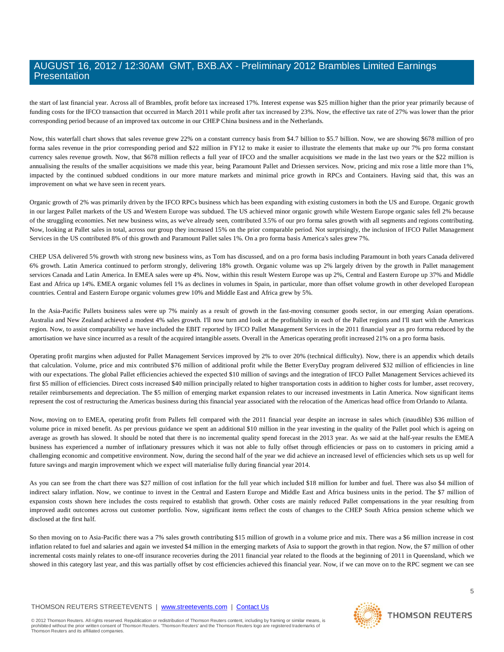the start of last financial year. Across all of Brambles, profit before tax increased 17%. Interest expense was \$25 million higher than the prior year primarily because of funding costs for the IFCO transaction that occurred in March 2011 while profit after tax increased by 23%. Now, the effective tax rate of 27% was lower than the prior corresponding period because of an improved tax outcome in our CHEP China business and in the Netherlands.

Now, this waterfall chart shows that sales revenue grew 22% on a constant currency basis from \$4.7 billion to \$5.7 billion. Now, we are showing \$678 million of pro forma sales revenue in the prior corresponding period and \$22 million in FY12 to make it easier to illustrate the elements that make up our 7% pro forma constant currency sales revenue growth. Now, that \$678 million reflects a full year of IFCO and the smaller acquisitions we made in the last two years or the \$22 million is annualising the results of the smaller acquisitions we made this year, being Paramount Pallet and Driessen services. Now, pricing and mix rose a little more than 1%, impacted by the continued subdued conditions in our more mature markets and minimal price growth in RPCs and Containers. Having said that, this was an improvement on what we have seen in recent years.

Organic growth of 2% was primarily driven by the IFCO RPCs business which has been expanding with existing customers in both the US and Europe. Organic growth in our largest Pallet markets of the US and Western Europe was subdued. The US achieved minor organic growth while Western Europe organic sales fell 2% because of the struggling economies. Net new business wins, as we've already seen, contributed 3.5% of our pro forma sales growth with all segments and regions contributing. Now, looking at Pallet sales in total, across our group they increased 15% on the prior comparable period. Not surprisingly, the inclusion of IFCO Pallet Management Services in the US contributed 8% of this growth and Paramount Pallet sales 1%. On a pro forma basis America's sales grew 7%.

CHEP USA delivered 5% growth with strong new business wins, as Tom has discussed, and on a pro forma basis including Paramount in both years Canada delivered 6% growth. Latin America continued to perform strongly, delivering 18% growth. Organic volume was up 2% largely driven by the growth in Pallet management services Canada and Latin America. In EMEA sales were up 4%. Now, within this result Western Europe was up 2%, Central and Eastern Europe up 37% and Middle East and Africa up 14%. EMEA organic volumes fell 1% as declines in volumes in Spain, in particular, more than offset volume growth in other developed European countries. Central and Eastern Europe organic volumes grew 10% and Middle East and Africa grew by 5%.

In the Asia-Pacific Pallets business sales were up 7% mainly as a result of growth in the fast-moving consumer goods sector, in our emerging Asian operations. Australia and New Zealand achieved a modest 4% sales growth. I'll now turn and look at the profitability in each of the Pallet regions and I'll start with the Americas region. Now, to assist comparability we have included the EBIT reported by IFCO Pallet Management Services in the 2011 financial year as pro forma reduced by the amortisation we have since incurred as a result of the acquired intangible assets. Overall in the Americas operating profit increased 21% on a pro forma basis.

Operating profit margins when adjusted for Pallet Management Services improved by 2% to over 20% (technical difficulty). Now, there is an appendix which details that calculation. Volume, price and mix contributed \$76 million of additional profit while the Better EveryDay program delivered \$32 million of efficiencies in line with our expectations. The global Pallet efficiencies achieved the expected \$10 million of savings and the integration of IFCO Pallet Management Services achieved its first \$5 million of efficiencies. Direct costs increased \$40 million principally related to higher transportation costs in addition to higher costs for lumber, asset recovery, retailer reimbursements and depreciation. The \$5 million of emerging market expansion relates to our increased investments in Latin America. Now significant items represent the cost of restructuring the Americas business during this financial year associated with the relocation of the Americas head office from Orlando to Atlanta.

Now, moving on to EMEA, operating profit from Pallets fell compared with the 2011 financial year despite an increase in sales which (inaudible) \$36 million of volume price in mixed benefit. As per previous guidance we spent an additional \$10 million in the year investing in the quality of the Pallet pool which is ageing on average as growth has slowed. It should be noted that there is no incremental quality spend forecast in the 2013 year. As we said at the half-year results the EMEA business has experienced a number of inflationary pressures which it was not able to fully offset through efficiencies or pass on to customers in pricing amid a challenging economic and competitive environment. Now, during the second half of the year we did achieve an increased level of efficiencies which sets us up well for future savings and margin improvement which we expect will materialise fully during financial year 2014.

As you can see from the chart there was \$27 million of cost inflation for the full year which included \$18 million for lumber and fuel. There was also \$4 million of indirect salary inflation. Now, we continue to invest in the Central and Eastern Europe and Middle East and Africa business units in the period. The \$7 million of expansion costs shown here includes the costs required to establish that growth. Other costs are mainly reduced Pallet compensations in the year resulting from improved audit outcomes across out customer portfolio. Now, significant items reflect the costs of changes to the CHEP South Africa pension scheme which we disclosed at the first half.

So then moving on to Asia-Pacific there was a 7% sales growth contributing \$15 million of growth in a volume price and mix. There was a \$6 million increase in cost inflation related to fuel and salaries and again we invested \$4 million in the emerging markets of Asia to support the growth in that region. Now, the \$7 million of other incremental costs mainly relates to one-off insurance recoveries during the 2011 financial year related to the floods at the beginning of 2011 in Queensland, which we showed in this category last year, and this was partially offset by cost efficiencies achieved this financial year. Now, if we can move on to the RPC segment we can see

#### THOMSON REUTERS STREETEVENTS | [www.streetevents.com](http://www.streetevents.com/) | [Contact Us](http://www010.streetevents.com/contact.asp)

© 2012 Thomson Reuters. All rights reserved. Republication or redistribution of Thomson Reuters content, including by framing or similar means, is<br>prohibited without the prior written consent of Thomson Reuters: 'Thomson R Thomson Reuters and its affiliated companies.

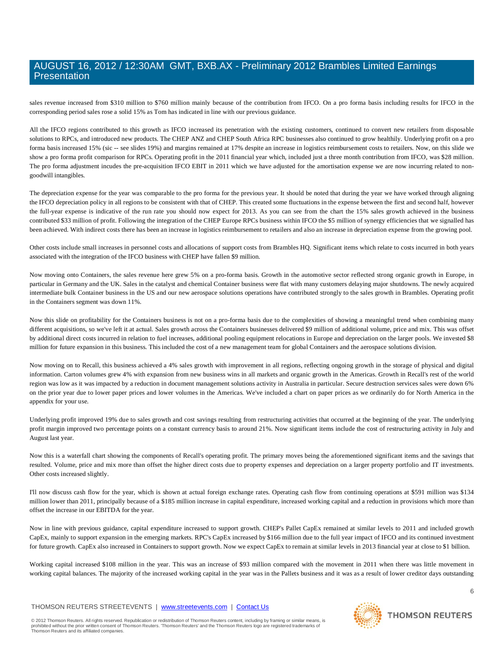sales revenue increased from \$310 million to \$760 million mainly because of the contribution from IFCO. On a pro forma basis including results for IFCO in the corresponding period sales rose a solid 15% as Tom has indicated in line with our previous guidance.

All the IFCO regions contributed to this growth as IFCO increased its penetration with the existing customers, continued to convert new retailers from disposable solutions to RPCs, and introduced new products. The CHEP ANZ and CHEP South Africa RPC businesses also continued to grow healthily. Underlying profit on a pro forma basis increased 15% (sic -- see slides 19%) and margins remained at 17% despite an increase in logistics reimbursement costs to retailers. Now, on this slide we show a pro forma profit comparison for RPCs. Operating profit in the 2011 financial year which, included just a three month contribution from IFCO, was \$28 million. The pro forma adjustment incudes the pre-acquisition IFCO EBIT in 2011 which we have adjusted for the amortisation expense we are now incurring related to nongoodwill intangibles.

The depreciation expense for the year was comparable to the pro forma for the previous year. It should be noted that during the year we have worked through aligning the IFCO depreciation policy in all regions to be consistent with that of CHEP. This created some fluctuations in the expense between the first and second half, however the full-year expense is indicative of the run rate you should now expect for 2013. As you can see from the chart the 15% sales growth achieved in the business contributed \$33 million of profit. Following the integration of the CHEP Europe RPCs business within IFCO the \$5 million of synergy efficiencies that we signalled has been achieved. With indirect costs there has been an increase in logistics reimbursement to retailers and also an increase in depreciation expense from the growing pool.

Other costs include small increases in personnel costs and allocations of support costs from Brambles HQ. Significant items which relate to costs incurred in both years associated with the integration of the IFCO business with CHEP have fallen \$9 million.

Now moving onto Containers, the sales revenue here grew 5% on a pro-forma basis. Growth in the automotive sector reflected strong organic growth in Europe, in particular in Germany and the UK. Sales in the catalyst and chemical Container business were flat with many customers delaying major shutdowns. The newly acquired intermediate bulk Container business in the US and our new aerospace solutions operations have contributed strongly to the sales growth in Brambles. Operating profit in the Containers segment was down 11%.

Now this slide on profitability for the Containers business is not on a pro-forma basis due to the complexities of showing a meaningful trend when combining many different acquisitions, so we've left it at actual. Sales growth across the Containers businesses delivered \$9 million of additional volume, price and mix. This was offset by additional direct costs incurred in relation to fuel increases, additional pooling equipment relocations in Europe and depreciation on the larger pools. We invested \$8 million for future expansion in this business. This included the cost of a new management team for global Containers and the aerospace solutions division.

Now moving on to Recall, this business achieved a 4% sales growth with improvement in all regions, reflecting ongoing growth in the storage of physical and digital information. Carton volumes grew 4% with expansion from new business wins in all markets and organic growth in the Americas. Growth in Recall's rest of the world region was low as it was impacted by a reduction in document management solutions activity in Australia in particular. Secure destruction services sales were down 6% on the prior year due to lower paper prices and lower volumes in the Americas. We've included a chart on paper prices as we ordinarily do for North America in the appendix for your use.

Underlying profit improved 19% due to sales growth and cost savings resulting from restructuring activities that occurred at the beginning of the year. The underlying profit margin improved two percentage points on a constant currency basis to around 21%. Now significant items include the cost of restructuring activity in July and August last year.

Now this is a waterfall chart showing the components of Recall's operating profit. The primary moves being the aforementioned significant items and the savings that resulted. Volume, price and mix more than offset the higher direct costs due to property expenses and depreciation on a larger property portfolio and IT investments. Other costs increased slightly.

I'll now discuss cash flow for the year, which is shown at actual foreign exchange rates. Operating cash flow from continuing operations at \$591 million was \$134 million lower than 2011, principally because of a \$185 million increase in capital expenditure, increased working capital and a reduction in provisions which more than offset the increase in our EBITDA for the year.

Now in line with previous guidance, capital expenditure increased to support growth. CHEP's Pallet CapEx remained at similar levels to 2011 and included growth CapEx, mainly to support expansion in the emerging markets. RPC's CapEx increased by \$166 million due to the full year impact of IFCO and its continued investment for future growth. CapEx also increased in Containers to support growth. Now we expect CapEx to remain at similar levels in 2013 financial year at close to \$1 billion.

Working capital increased \$108 million in the year. This was an increase of \$93 million compared with the movement in 2011 when there was little movement in working capital balances. The majority of the increased working capital in the year was in the Pallets business and it was as a result of lower creditor days outstanding

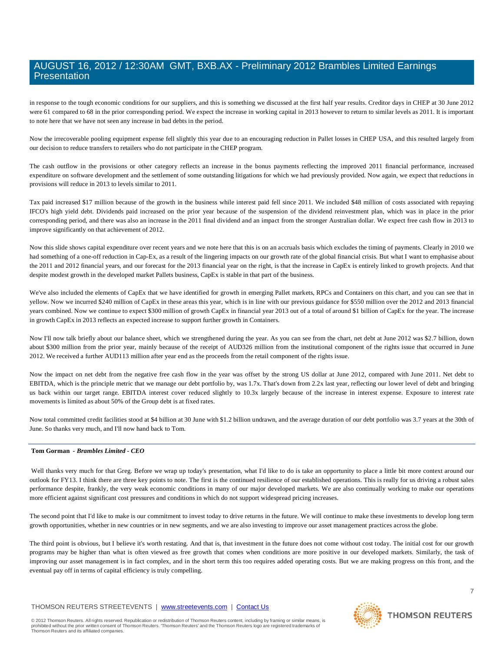in response to the tough economic conditions for our suppliers, and this is something we discussed at the first half year results. Creditor days in CHEP at 30 June 2012 were 61 compared to 68 in the prior corresponding period. We expect the increase in working capital in 2013 however to return to similar levels as 2011. It is important to note here that we have not seen any increase in bad debts in the period.

Now the irrecoverable pooling equipment expense fell slightly this year due to an encouraging reduction in Pallet losses in CHEP USA, and this resulted largely from our decision to reduce transfers to retailers who do not participate in the CHEP program.

The cash outflow in the provisions or other category reflects an increase in the bonus payments reflecting the improved 2011 financial performance, increased expenditure on software development and the settlement of some outstanding litigations for which we had previously provided. Now again, we expect that reductions in provisions will reduce in 2013 to levels similar to 2011.

Tax paid increased \$17 million because of the growth in the business while interest paid fell since 2011. We included \$48 million of costs associated with repaying IFCO's high yield debt. Dividends paid increased on the prior year because of the suspension of the dividend reinvestment plan, which was in place in the prior corresponding period, and there was also an increase in the 2011 final dividend and an impact from the stronger Australian dollar. We expect free cash flow in 2013 to improve significantly on that achievement of 2012.

Now this slide shows capital expenditure over recent years and we note here that this is on an accruals basis which excludes the timing of payments. Clearly in 2010 we had something of a one-off reduction in Cap-Ex, as a result of the lingering impacts on our growth rate of the global financial crisis. But what I want to emphasise about the 2011 and 2012 financial years, and our forecast for the 2013 financial year on the right, is that the increase in CapEx is entirely linked to growth projects. And that despite modest growth in the developed market Pallets business, CapEx is stable in that part of the business.

We've also included the elements of CapEx that we have identified for growth in emerging Pallet markets, RPCs and Containers on this chart, and you can see that in yellow. Now we incurred \$240 million of CapEx in these areas this year, which is in line with our previous guidance for \$550 million over the 2012 and 2013 financial years combined. Now we continue to expect \$300 million of growth CapEx in financial year 2013 out of a total of around \$1 billion of CapEx for the year. The increase in growth CapEx in 2013 reflects an expected increase to support further growth in Containers.

Now I'll now talk briefly about our balance sheet, which we strengthened during the year. As you can see from the chart, net debt at June 2012 was \$2.7 billion, down about \$300 million from the prior year, mainly because of the receipt of AUD326 million from the institutional component of the rights issue that occurred in June 2012. We received a further AUD113 million after year end as the proceeds from the retail component of the rights issue.

Now the impact on net debt from the negative free cash flow in the year was offset by the strong US dollar at June 2012, compared with June 2011. Net debt to EBITDA, which is the principle metric that we manage our debt portfolio by, was 1.7x. That's down from 2.2x last year, reflecting our lower level of debt and bringing us back within our target range. EBITDA interest cover reduced slightly to 10.3x largely because of the increase in interest expense. Exposure to interest rate movements is limited as about 50% of the Group debt is at fixed rates.

Now total committed credit facilities stood at \$4 billion at 30 June with \$1.2 billion undrawn, and the average duration of our debt portfolio was 3.7 years at the 30th of June. So thanks very much, and I'll now hand back to Tom.

#### **Tom Gorman** *- Brambles Limited - CEO*

Well thanks very much for that Greg. Before we wrap up today's presentation, what I'd like to do is take an opportunity to place a little bit more context around our outlook for FY13. I think there are three key points to note. The first is the continued resilience of our established operations. This is really for us driving a robust sales performance despite, frankly, the very weak economic conditions in many of our major developed markets. We are also continually working to make our operations more efficient against significant cost pressures and conditions in which do not support widespread pricing increases.

The second point that I'd like to make is our commitment to invest today to drive returns in the future. We will continue to make these investments to develop long term growth opportunities, whether in new countries or in new segments, and we are also investing to improve our asset management practices across the globe.

The third point is obvious, but I believe it's worth restating. And that is, that investment in the future does not come without cost today. The initial cost for our growth programs may be higher than what is often viewed as free growth that comes when conditions are more positive in our developed markets. Similarly, the task of improving our asset management is in fact complex, and in the short term this too requires added operating costs. But we are making progress on this front, and the eventual pay off in terms of capital efficiency is truly compelling.

#### THOMSON REUTERS STREETEVENTS | [www.streetevents.com](http://www.streetevents.com/) | [Contact Us](http://www010.streetevents.com/contact.asp)



### **THOMSON REUTERS**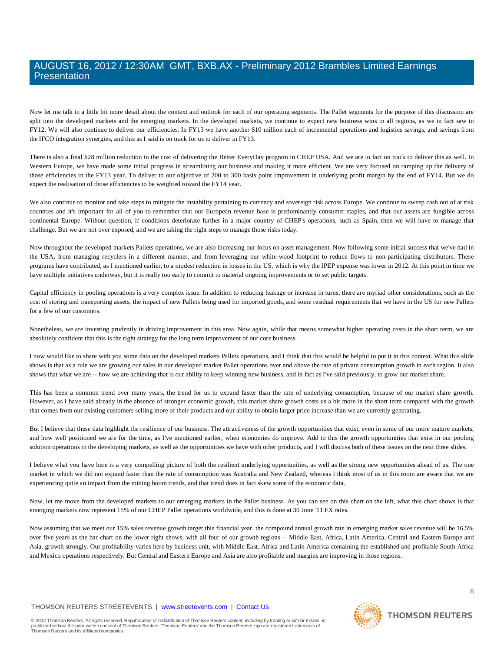Now let me talk in a little bit more detail about the context and outlook for each of our operating segments. The Pallet segments for the purpose of this discussion are split into the developed markets and the emerging markets. In the developed markets, we continue to expect new business wins in all regions, as we in fact saw in FY12. We will also continue to deliver our efficiencies. In FY13 we have another \$10 million each of incremental operations and logistics savings, and savings from the IFCO integration synergies, and this as I said is on track for us to deliver in FY13.

There is also a final \$28 million reduction in the cost of delivering the Better EveryDay program in CHEP USA. And we are in fact on track to deliver this as well. In Western Europe, we have made some initial progress in streamlining our business and making it more efficient. We are very focused on ramping up the delivery of those efficiencies in the FY13 year. To deliver to our objective of 200 to 300 basis point improvement in underlying profit margin by the end of FY14. But we do expect the realisation of those efficiencies to be weighted toward the FY14 year.

We also continue to monitor and take steps to mitigate the instability pertaining to currency and sovereign risk across Europe. We continue to sweep cash out of at risk countries and it's important for all of you to remember that our European revenue base is predominantly consumer staples, and that our assets are fungible across continental Europe. Without question, if conditions deteriorate further in a major country of CHEP's operations, such as Spain, then we will have to manage that challenge. But we are not over exposed, and we are taking the right steps to manage those risks today.

Now throughout the developed markets Pallets operations, we are also increasing our focus on asset management. Now following some initial success that we've had in the USA, from managing recyclers in a different manner, and from leveraging our white-wood footprint to reduce flows to non-participating distributors. These programs have contributed, as I mentioned earlier, to a modest reduction in losses in the US, which is why the IPEP expense was lower in 2012. At this point in time we have multiple initiatives underway, but it is really too early to commit to material ongoing improvements or to set public targets.

Capital efficiency in pooling operations is a very complex issue. In addition to reducing leakage or increase in turns, there are myriad other considerations, such as the cost of storing and transporting assets, the impact of new Pallets being used for imported goods, and some residual requirements that we have in the US for new Pallets for a few of our customers.

Nonetheless, we are investing prudently in driving improvement in this area. Now again, while that means somewhat higher operating costs in the short term, we are absolutely confident that this is the right strategy for the long term improvement of our core business.

I now would like to share with you some data on the developed markets Pallets operations, and I think that this would be helpful to put it in this context. What this slide shows is that as a rule we are growing our sales in our developed market Pallet operations over and above the rate of private consumption growth in each region. It also shows that what we are -- how we are achieving that is our ability to keep winning new business, and in fact as I've said previously, to grow our market share.

This has been a common trend over many years, the trend for us to expand faster than the rate of underlying consumption, because of our market share growth. However, as I have said already in the absence of stronger economic growth, this market share growth costs us a bit more in the short term compared with the growth that comes from our existing customers selling more of their products and our ability to obtain larger price increase than we are currently generating.

But I believe that these data highlight the resilience of our business. The attractiveness of the growth opportunities that exist, even in some of our more mature markets, and how well positioned we are for the time, as I've mentioned earlier, when economies do improve. Add to this the growth opportunities that exist in our pooling solution operations in the developing markets, as well as the opportunities we have with other products, and I will discuss both of these issues on the next three slides.

I believe what you have here is a very compelling picture of both the resilient underlying opportunities, as well as the strong new opportunities ahead of us. The one market in which we did not expand faster than the rate of consumption was Australia and New Zealand, whereas I think most of us in this room are aware that we are experiencing quite an impact from the mining boom trends, and that trend does in fact skew some of the economic data.

Now, let me move from the developed markets to our emerging markets in the Pallet business. As you can see on this chart on the left, what this chart shows is that emerging markets now represent 15% of our CHEP Pallet operations worldwide, and this is done at 30 June '11 FX rates.

Now assuming that we meet our 15% sales revenue growth target this financial year, the compound annual growth rate in emerging market sales revenue will be 16.5% over five years as the bar chart on the lower right shows, with all four of our growth regions -- Middle East, Africa, Latin America, Central and Eastern Europe and Asia, growth strongly. Our profitability varies here by business unit, with Middle East, Africa and Latin America containing the established and profitable South Africa and Mexico operations respectively. But Central and Eastern Europe and Asia are also profitable and margins are improving in those regions.

#### THOMSON REUTERS STREETEVENTS | [www.streetevents.com](http://www.streetevents.com/) | [Contact Us](http://www010.streetevents.com/contact.asp)

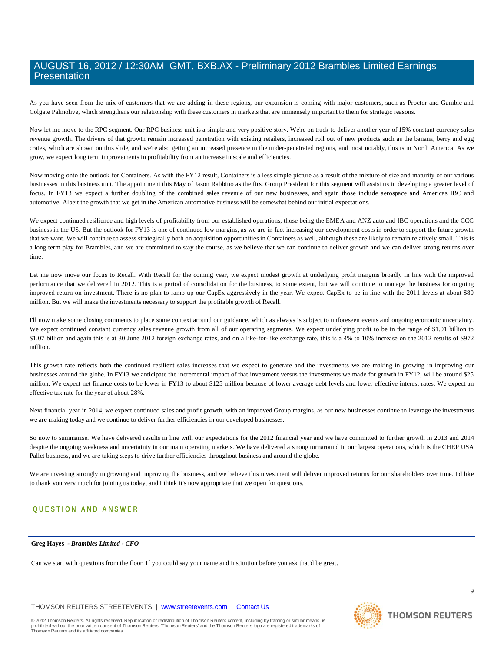As you have seen from the mix of customers that we are adding in these regions, our expansion is coming with major customers, such as Proctor and Gamble and Colgate Palmolive, which strengthens our relationship with these customers in markets that are immensely important to them for strategic reasons.

Now let me move to the RPC segment. Our RPC business unit is a simple and very positive story. We're on track to deliver another year of 15% constant currency sales revenue growth. The drivers of that growth remain increased penetration with existing retailers, increased roll out of new products such as the banana, berry and egg crates, which are shown on this slide, and we're also getting an increased presence in the under-penetrated regions, and most notably, this is in North America. As we grow, we expect long term improvements in profitability from an increase in scale and efficiencies.

Now moving onto the outlook for Containers. As with the FY12 result, Containers is a less simple picture as a result of the mixture of size and maturity of our various businesses in this business unit. The appointment this May of Jason Rabbino as the first Group President for this segment will assist us in developing a greater level of focus. In FY13 we expect a further doubling of the combined sales revenue of our new businesses, and again those include aerospace and Americas IBC and automotive. Albeit the growth that we get in the American automotive business will be somewhat behind our initial expectations.

We expect continued resilience and high levels of profitability from our established operations, those being the EMEA and ANZ auto and IBC operations and the CCC business in the US. But the outlook for FY13 is one of continued low margins, as we are in fact increasing our development costs in order to support the future growth that we want. We will continue to assess strategically both on acquisition opportunities in Containers as well, although these are likely to remain relatively small. This is a long term play for Brambles, and we are committed to stay the course, as we believe that we can continue to deliver growth and we can deliver strong returns over time.

Let me now move our focus to Recall. With Recall for the coming year, we expect modest growth at underlying profit margins broadly in line with the improved performance that we delivered in 2012. This is a period of consolidation for the business, to some extent, but we will continue to manage the business for ongoing improved return on investment. There is no plan to ramp up our CapEx aggressively in the year. We expect CapEx to be in line with the 2011 levels at about \$80 million. But we will make the investments necessary to support the profitable growth of Recall.

I'll now make some closing comments to place some context around our guidance, which as always is subject to unforeseen events and ongoing economic uncertainty. We expect continued constant currency sales revenue growth from all of our operating segments. We expect underlying profit to be in the range of \$1.01 billion to \$1.07 billion and again this is at 30 June 2012 foreign exchange rates, and on a like-for-like exchange rate, this is a 4% to 10% increase on the 2012 results of \$972 million.

This growth rate reflects both the continued resilient sales increases that we expect to generate and the investments we are making in growing in improving our businesses around the globe. In FY13 we anticipate the incremental impact of that investment versus the investments we made for growth in FY12, will be around \$25 million. We expect net finance costs to be lower in FY13 to about \$125 million because of lower average debt levels and lower effective interest rates. We expect an effective tax rate for the year of about 28%.

Next financial year in 2014, we expect continued sales and profit growth, with an improved Group margins, as our new businesses continue to leverage the investments we are making today and we continue to deliver further efficiencies in our developed businesses.

So now to summarise. We have delivered results in line with our expectations for the 2012 financial year and we have committed to further growth in 2013 and 2014 despite the ongoing weakness and uncertainty in our main operating markets. We have delivered a strong turnaround in our largest operations, which is the CHEP USA Pallet business, and we are taking steps to drive further efficiencies throughout business and around the globe.

We are investing strongly in growing and improving the business, and we believe this investment will deliver improved returns for our shareholders over time. I'd like to thank you very much for joining us today, and I think it's now appropriate that we open for questions.

### **QUESTION AND ANSWER**

#### **Greg Hayes** *- Brambles Limited - CFO*

Can we start with questions from the floor. If you could say your name and institution before you ask that'd be great.

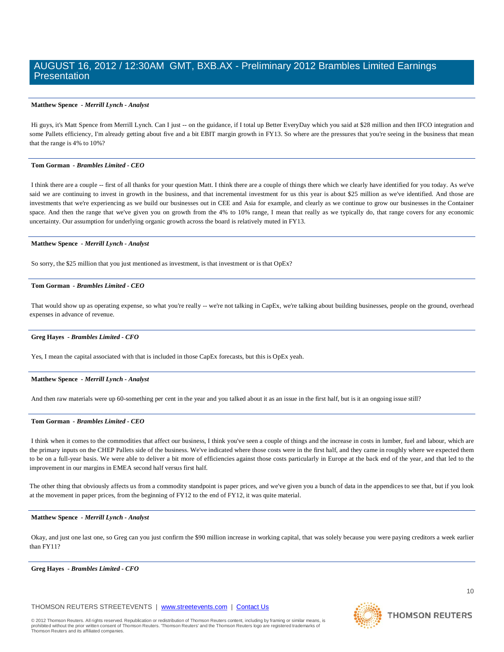#### **Matthew Spence** *- Merrill Lynch - Analyst*

Hi guys, it's Matt Spence from Merrill Lynch. Can I just -- on the guidance, if I total up Better EveryDay which you said at \$28 million and then IFCO integration and some Pallets efficiency, I'm already getting about five and a bit EBIT margin growth in FY13. So where are the pressures that you're seeing in the business that mean that the range is 4% to 10%?

#### **Tom Gorman** *- Brambles Limited - CEO*

I think there are a couple -- first of all thanks for your question Matt. I think there are a couple of things there which we clearly have identified for you today. As we've said we are continuing to invest in growth in the business, and that incremental investment for us this year is about \$25 million as we've identified. And those are investments that we're experiencing as we build our businesses out in CEE and Asia for example, and clearly as we continue to grow our businesses in the Container space. And then the range that we've given you on growth from the 4% to 10% range, I mean that really as we typically do, that range covers for any economic uncertainty. Our assumption for underlying organic growth across the board is relatively muted in FY13.

#### **Matthew Spence** *- Merrill Lynch - Analyst*

So sorry, the \$25 million that you just mentioned as investment, is that investment or is that OpEx?

#### **Tom Gorman** *- Brambles Limited - CEO*

That would show up as operating expense, so what you're really -- we're not talking in CapEx, we're talking about building businesses, people on the ground, overhead expenses in advance of revenue.

#### **Greg Hayes** *- Brambles Limited - CFO*

Yes, I mean the capital associated with that is included in those CapEx forecasts, but this is OpEx yeah.

#### **Matthew Spence** *- Merrill Lynch - Analyst*

And then raw materials were up 60-something per cent in the year and you talked about it as an issue in the first half, but is it an ongoing issue still?

#### **Tom Gorman** *- Brambles Limited - CEO*

I think when it comes to the commodities that affect our business, I think you've seen a couple of things and the increase in costs in lumber, fuel and labour, which are the primary inputs on the CHEP Pallets side of the business. We've indicated where those costs were in the first half, and they came in roughly where we expected them to be on a full-year basis. We were able to deliver a bit more of efficiencies against those costs particularly in Europe at the back end of the year, and that led to the improvement in our margins in EMEA second half versus first half.

The other thing that obviously affects us from a commodity standpoint is paper prices, and we've given you a bunch of data in the appendices to see that, but if you look at the movement in paper prices, from the beginning of FY12 to the end of FY12, it was quite material.

#### **Matthew Spence** *- Merrill Lynch - Analyst*

Okay, and just one last one, so Greg can you just confirm the \$90 million increase in working capital, that was solely because you were paying creditors a week earlier than FY11?

#### **Greg Hayes** *- Brambles Limited - CFO*

THOMSON REUTERS STREETEVENTS | [www.streetevents.com](http://www.streetevents.com/) | [Contact Us](http://www010.streetevents.com/contact.asp)

© 2012 Thomson Reuters. All rights reserved. Republication or redistribution of Thomson Reuters content, including by framing or similar means, is<br>prohibited without the prior written consent of Thomson Reuters: 'Thomson R Thomson Reuters and its affiliated companies.

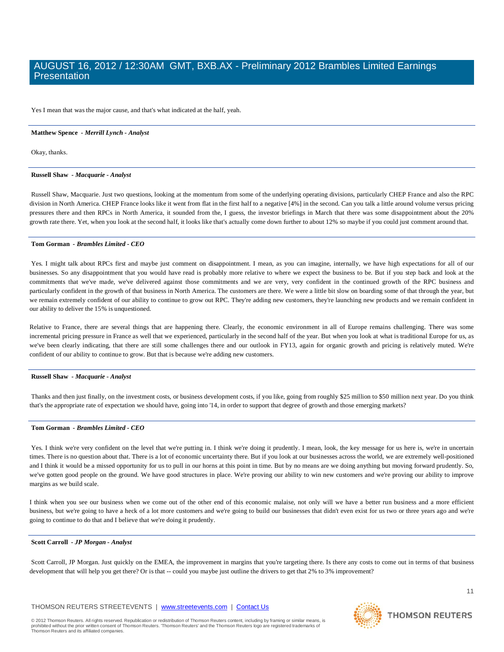Yes I mean that was the major cause, and that's what indicated at the half, yeah.

#### **Matthew Spence** *- Merrill Lynch - Analyst*

Okay, thanks.

#### **Russell Shaw** *- Macquarie - Analyst*

Russell Shaw, Macquarie. Just two questions, looking at the momentum from some of the underlying operating divisions, particularly CHEP France and also the RPC division in North America. CHEP France looks like it went from flat in the first half to a negative [4%] in the second. Can you talk a little around volume versus pricing pressures there and then RPCs in North America, it sounded from the, I guess, the investor briefings in March that there was some disappointment about the 20% growth rate there. Yet, when you look at the second half, it looks like that's actually come down further to about 12% so maybe if you could just comment around that.

#### **Tom Gorman** *- Brambles Limited - CEO*

Yes. I might talk about RPCs first and maybe just comment on disappointment. I mean, as you can imagine, internally, we have high expectations for all of our businesses. So any disappointment that you would have read is probably more relative to where we expect the business to be. But if you step back and look at the commitments that we've made, we've delivered against those commitments and we are very, very confident in the continued growth of the RPC business and particularly confident in the growth of that business in North America. The customers are there. We were a little bit slow on boarding some of that through the year, but we remain extremely confident of our ability to continue to grow out RPC. They're adding new customers, they're launching new products and we remain confident in our ability to deliver the 15% is unquestioned.

Relative to France, there are several things that are happening there. Clearly, the economic environment in all of Europe remains challenging. There was some incremental pricing pressure in France as well that we experienced, particularly in the second half of the year. But when you look at what is traditional Europe for us, as we've been clearly indicating, that there are still some challenges there and our outlook in FY13, again for organic growth and pricing is relatively muted. We're confident of our ability to continue to grow. But that is because we're adding new customers.

#### **Russell Shaw** *- Macquarie - Analyst*

Thanks and then just finally, on the investment costs, or business development costs, if you like, going from roughly \$25 million to \$50 million next year. Do you think that's the appropriate rate of expectation we should have, going into '14, in order to support that degree of growth and those emerging markets?

#### **Tom Gorman** *- Brambles Limited - CEO*

Yes. I think we're very confident on the level that we're putting in. I think we're doing it prudently. I mean, look, the key message for us here is, we're in uncertain times. There is no question about that. There is a lot of economic uncertainty there. But if you look at our businesses across the world, we are extremely well-positioned and I think it would be a missed opportunity for us to pull in our horns at this point in time. But by no means are we doing anything but moving forward prudently. So, we've gotten good people on the ground. We have good structures in place. We're proving our ability to win new customers and we're proving our ability to improve margins as we build scale.

I think when you see our business when we come out of the other end of this economic malaise, not only will we have a better run business and a more efficient business, but we're going to have a heck of a lot more customers and we're going to build our businesses that didn't even exist for us two or three years ago and we're going to continue to do that and I believe that we're doing it prudently.

#### **Scott Carroll** *- JP Morgan - Analyst*

Scott Carroll, JP Morgan. Just quickly on the EMEA, the improvement in margins that you're targeting there. Is there any costs to come out in terms of that business development that will help you get there? Or is that -- could you maybe just outline the drivers to get that 2% to 3% improvement?

#### THOMSON REUTERS STREETEVENTS | [www.streetevents.com](http://www.streetevents.com/) | [Contact Us](http://www010.streetevents.com/contact.asp)



**THOMSON REUTERS**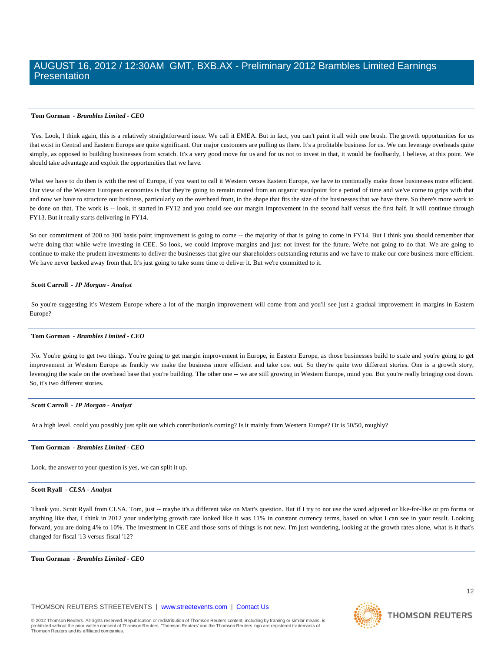#### **Tom Gorman** *- Brambles Limited - CEO*

Yes. Look, I think again, this is a relatively straightforward issue. We call it EMEA. But in fact, you can't paint it all with one brush. The growth opportunities for us that exist in Central and Eastern Europe are quite significant. Our major customers are pulling us there. It's a profitable business for us. We can leverage overheads quite simply, as opposed to building businesses from scratch. It's a very good move for us and for us not to invest in that, it would be foolhardy, I believe, at this point. We should take advantage and exploit the opportunities that we have.

What we have to do then is with the rest of Europe, if you want to call it Western verses Eastern Europe, we have to continually make those businesses more efficient. Our view of the Western European economies is that they're going to remain muted from an organic standpoint for a period of time and we've come to grips with that and now we have to structure our business, particularly on the overhead front, in the shape that fits the size of the businesses that we have there. So there's more work to be done on that. The work is -- look, it started in FY12 and you could see our margin improvement in the second half versus the first half. It will continue through FY13. But it really starts delivering in FY14.

So our commitment of 200 to 300 basis point improvement is going to come -- the majority of that is going to come in FY14. But I think you should remember that we're doing that while we're investing in CEE. So look, we could improve margins and just not invest for the future. We're not going to do that. We are going to continue to make the prudent investments to deliver the businesses that give our shareholders outstanding returns and we have to make our core business more efficient. We have never backed away from that. It's just going to take some time to deliver it. But we're committed to it.

#### **Scott Carroll** *- JP Morgan - Analyst*

So you're suggesting it's Western Europe where a lot of the margin improvement will come from and you'll see just a gradual improvement in margins in Eastern Europe?

#### **Tom Gorman** *- Brambles Limited - CEO*

No. You're going to get two things. You're going to get margin improvement in Europe, in Eastern Europe, as those businesses build to scale and you're going to get improvement in Western Europe as frankly we make the business more efficient and take cost out. So they're quite two different stories. One is a growth story, leveraging the scale on the overhead base that you're building. The other one -- we are still growing in Western Europe, mind you. But you're really bringing cost down. So, it's two different stories.

#### **Scott Carroll** *- JP Morgan - Analyst*

At a high level, could you possibly just split out which contribution's coming? Is it mainly from Western Europe? Or is 50/50, roughly?

#### **Tom Gorman** *- Brambles Limited - CEO*

Look, the answer to your question is yes, we can split it up.

#### **Scott Ryall** *- CLSA - Analyst*

Thank you. Scott Ryall from CLSA. Tom, just -- maybe it's a different take on Matt's question. But if I try to not use the word adjusted or like-for-like or pro forma or anything like that, I think in 2012 your underlying growth rate looked like it was 11% in constant currency terms, based on what I can see in your result. Looking forward, you are doing 4% to 10%. The investment in CEE and those sorts of things is not new. I'm just wondering, looking at the growth rates alone, what is it that's changed for fiscal '13 versus fiscal '12?

**Tom Gorman** *- Brambles Limited - CEO* 

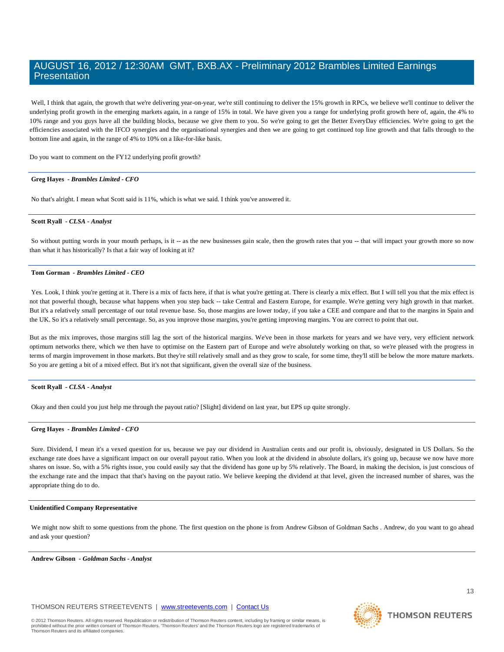Well, I think that again, the growth that we're delivering year-on-year, we're still continuing to deliver the 15% growth in RPCs, we believe we'll continue to deliver the underlying profit growth in the emerging markets again, in a range of 15% in total. We have given you a range for underlying profit growth here of, again, the 4% to 10% range and you guys have all the building blocks, because we give them to you. So we're going to get the Better EveryDay efficiencies. We're going to get the efficiencies associated with the IFCO synergies and the organisational synergies and then we are going to get continued top line growth and that falls through to the bottom line and again, in the range of 4% to 10% on a like-for-like basis.

Do you want to comment on the FY12 underlying profit growth?

#### **Greg Hayes** *- Brambles Limited - CFO*

No that's alright. I mean what Scott said is 11%, which is what we said. I think you've answered it.

#### **Scott Ryall** *- CLSA - Analyst*

So without putting words in your mouth perhaps, is it -- as the new businesses gain scale, then the growth rates that you -- that will impact your growth more so now than what it has historically? Is that a fair way of looking at it?

#### **Tom Gorman** *- Brambles Limited - CEO*

Yes. Look, I think you're getting at it. There is a mix of facts here, if that is what you're getting at. There is clearly a mix effect. But I will tell you that the mix effect is not that powerful though, because what happens when you step back -- take Central and Eastern Europe, for example. We're getting very high growth in that market. But it's a relatively small percentage of our total revenue base. So, those margins are lower today, if you take a CEE and compare and that to the margins in Spain and the UK. So it's a relatively small percentage. So, as you improve those margins, you're getting improving margins. You are correct to point that out.

But as the mix improves, those margins still lag the sort of the historical margins. We've been in those markets for years and we have very, very efficient network optimum networks there, which we then have to optimise on the Eastern part of Europe and we're absolutely working on that, so we're pleased with the progress in terms of margin improvement in those markets. But they're still relatively small and as they grow to scale, for some time, they'll still be below the more mature markets. So you are getting a bit of a mixed effect. But it's not that significant, given the overall size of the business.

#### **Scott Ryall** *- CLSA - Analyst*

Okay and then could you just help me through the payout ratio? [Slight] dividend on last year, but EPS up quite strongly.

#### **Greg Hayes** *- Brambles Limited - CFO*

Sure. Dividend, I mean it's a vexed question for us, because we pay our dividend in Australian cents and our profit is, obviously, designated in US Dollars. So the exchange rate does have a significant impact on our overall payout ratio. When you look at the dividend in absolute dollars, it's going up, because we now have more shares on issue. So, with a 5% rights issue, you could easily say that the dividend has gone up by 5% relatively. The Board, in making the decision, is just conscious of the exchange rate and the impact that that's having on the payout ratio. We believe keeping the dividend at that level, given the increased number of shares, was the appropriate thing do to do.

#### **Unidentified Company Representative**

We might now shift to some questions from the phone. The first question on the phone is from Andrew Gibson of Goldman Sachs . Andrew, do you want to go ahead and ask your question?

**Andrew Gibson** *- Goldman Sachs - Analyst* 

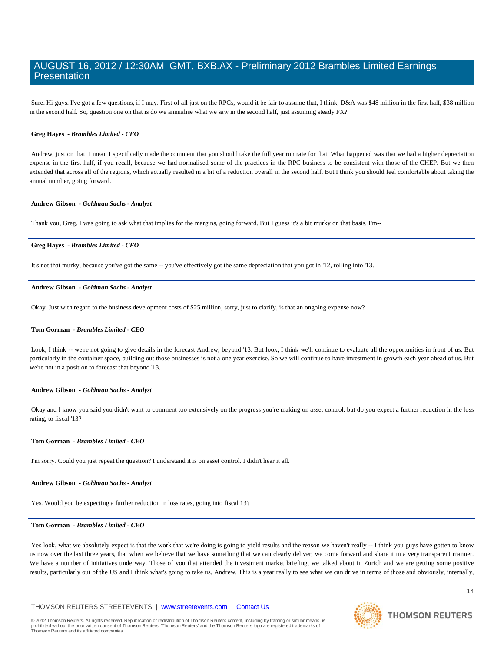Sure. Hi guys. I've got a few questions, if I may. First of all just on the RPCs, would it be fair to assume that, I think, D&A was \$48 million in the first half, \$38 million in the second half. So, question one on that is do we annualise what we saw in the second half, just assuming steady FX?

#### **Greg Hayes** *- Brambles Limited - CFO*

Andrew, just on that. I mean I specifically made the comment that you should take the full year run rate for that. What happened was that we had a higher depreciation expense in the first half, if you recall, because we had normalised some of the practices in the RPC business to be consistent with those of the CHEP. But we then extended that across all of the regions, which actually resulted in a bit of a reduction overall in the second half. But I think you should feel comfortable about taking the annual number, going forward.

#### **Andrew Gibson** *- Goldman Sachs - Analyst*

Thank you, Greg. I was going to ask what that implies for the margins, going forward. But I guess it's a bit murky on that basis. I'm--

#### **Greg Hayes** *- Brambles Limited - CFO*

It's not that murky, because you've got the same -- you've effectively got the same depreciation that you got in '12, rolling into '13.

#### **Andrew Gibson** *- Goldman Sachs - Analyst*

Okay. Just with regard to the business development costs of \$25 million, sorry, just to clarify, is that an ongoing expense now?

#### **Tom Gorman** *- Brambles Limited - CEO*

Look, I think -- we're not going to give details in the forecast Andrew, beyond '13. But look, I think we'll continue to evaluate all the opportunities in front of us. But particularly in the container space, building out those businesses is not a one year exercise. So we will continue to have investment in growth each year ahead of us. But we're not in a position to forecast that beyond '13.

#### **Andrew Gibson** *- Goldman Sachs - Analyst*

Okay and I know you said you didn't want to comment too extensively on the progress you're making on asset control, but do you expect a further reduction in the loss rating, to fiscal '13?

#### **Tom Gorman** *- Brambles Limited - CEO*

I'm sorry. Could you just repeat the question? I understand it is on asset control. I didn't hear it all.

#### **Andrew Gibson** *- Goldman Sachs - Analyst*

Yes. Would you be expecting a further reduction in loss rates, going into fiscal 13?

#### **Tom Gorman** *- Brambles Limited - CEO*

Yes look, what we absolutely expect is that the work that we're doing is going to yield results and the reason we haven't really -- I think you guys have gotten to know us now over the last three years, that when we believe that we have something that we can clearly deliver, we come forward and share it in a very transparent manner. We have a number of initiatives underway. Those of you that attended the investment market briefing, we talked about in Zurich and we are getting some positive results, particularly out of the US and I think what's going to take us, Andrew. This is a year really to see what we can drive in terms of those and obviously, internally,

#### THOMSON REUTERS STREETEVENTS | [www.streetevents.com](http://www.streetevents.com/) | [Contact Us](http://www010.streetevents.com/contact.asp)



**THOMSON REUTERS**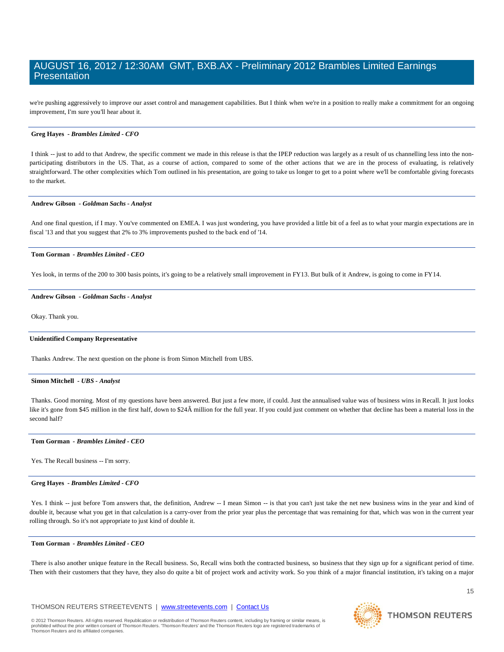we're pushing aggressively to improve our asset control and management capabilities. But I think when we're in a position to really make a commitment for an ongoing improvement, I'm sure you'll hear about it.

#### **Greg Hayes** *- Brambles Limited - CFO*

I think -- just to add to that Andrew, the specific comment we made in this release is that the IPEP reduction was largely as a result of us channelling less into the nonparticipating distributors in the US. That, as a course of action, compared to some of the other actions that we are in the process of evaluating, is relatively straightforward. The other complexities which Tom outlined in his presentation, are going to take us longer to get to a point where we'll be comfortable giving forecasts to the market.

#### **Andrew Gibson** *- Goldman Sachs - Analyst*

And one final question, if I may. You've commented on EMEA. I was just wondering, you have provided a little bit of a feel as to what your margin expectations are in fiscal '13 and that you suggest that 2% to 3% improvements pushed to the back end of '14.

#### **Tom Gorman** *- Brambles Limited - CEO*

Yes look, in terms of the 200 to 300 basis points, it's going to be a relatively small improvement in FY13. But bulk of it Andrew, is going to come in FY14.

#### **Andrew Gibson** *- Goldman Sachs - Analyst*

Okay. Thank you.

#### **Unidentified Company Representative**

Thanks Andrew. The next question on the phone is from Simon Mitchell from UBS.

#### **Simon Mitchell** *- UBS - Analyst*

Thanks. Good morning. Most of my questions have been answered. But just a few more, if could. Just the annualised value was of business wins in Recall. It just looks like it's gone from \$45 million in the first half, down to \$24Â million for the full year. If you could just comment on whether that decline has been a material loss in the second half?

#### **Tom Gorman** *- Brambles Limited - CEO*

Yes. The Recall business -- I'm sorry.

#### **Greg Hayes** *- Brambles Limited - CFO*

Yes. I think -- just before Tom answers that, the definition, Andrew -- I mean Simon -- is that you can't just take the net new business wins in the year and kind of double it, because what you get in that calculation is a carry-over from the prior year plus the percentage that was remaining for that, which was won in the current year rolling through. So it's not appropriate to just kind of double it.

#### **Tom Gorman** *- Brambles Limited - CEO*

There is also another unique feature in the Recall business. So, Recall wins both the contracted business, so business that they sign up for a significant period of time. Then with their customers that they have, they also do quite a bit of project work and activity work. So you think of a major financial institution, it's taking on a major

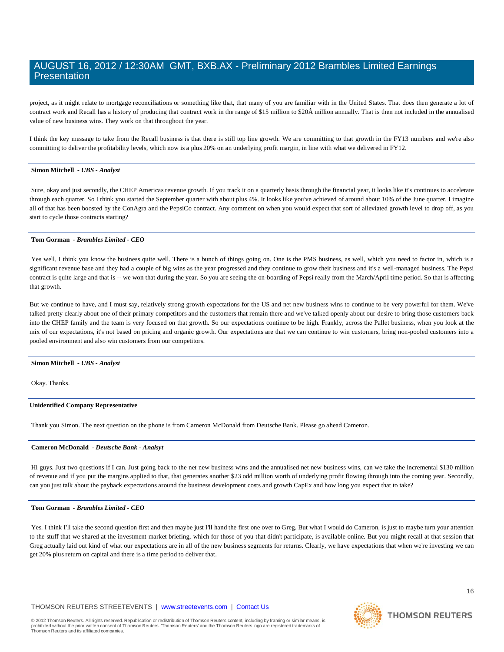project, as it might relate to mortgage reconciliations or something like that, that many of you are familiar with in the United States. That does then generate a lot of contract work and Recall has a history of producing that contract work in the range of \$15 million to \$20Â million annually. That is then not included in the annualised value of new business wins. They work on that throughout the year.

I think the key message to take from the Recall business is that there is still top line growth. We are committing to that growth in the FY13 numbers and we're also committing to deliver the profitability levels, which now is a plus 20% on an underlying profit margin, in line with what we delivered in FY12.

#### **Simon Mitchell** *- UBS - Analyst*

Sure, okay and just secondly, the CHEP Americas revenue growth. If you track it on a quarterly basis through the financial year, it looks like it's continues to accelerate through each quarter. So I think you started the September quarter with about plus 4%. It looks like you've achieved of around about 10% of the June quarter. I imagine all of that has been boosted by the ConAgra and the PepsiCo contract. Any comment on when you would expect that sort of alleviated growth level to drop off, as you start to cycle those contracts starting?

#### **Tom Gorman** *- Brambles Limited - CEO*

Yes well, I think you know the business quite well. There is a bunch of things going on. One is the PMS business, as well, which you need to factor in, which is a significant revenue base and they had a couple of big wins as the year progressed and they continue to grow their business and it's a well-managed business. The Pepsi contract is quite large and that is -- we won that during the year. So you are seeing the on-boarding of Pepsi really from the March/April time period. So that is affecting that growth.

But we continue to have, and I must say, relatively strong growth expectations for the US and net new business wins to continue to be very powerful for them. We've talked pretty clearly about one of their primary competitors and the customers that remain there and we've talked openly about our desire to bring those customers back into the CHEP family and the team is very focused on that growth. So our expectations continue to be high. Frankly, across the Pallet business, when you look at the mix of our expectations, it's not based on pricing and organic growth. Our expectations are that we can continue to win customers, bring non-pooled customers into a pooled environment and also win customers from our competitors.

#### **Simon Mitchell** *- UBS - Analyst*

Okay. Thanks.

#### **Unidentified Company Representative**

Thank you Simon. The next question on the phone is from Cameron McDonald from Deutsche Bank. Please go ahead Cameron.

#### **Cameron McDonald** *- Deutsche Bank - Analsyt*

Hi guys. Just two questions if I can. Just going back to the net new business wins and the annualised net new business wins, can we take the incremental \$130 million of revenue and if you put the margins applied to that, that generates another \$23 odd million worth of underlying profit flowing through into the coming year. Secondly, can you just talk about the payback expectations around the business development costs and growth CapEx and how long you expect that to take?

#### **Tom Gorman** *- Brambles Limited - CEO*

Yes. I think I'll take the second question first and then maybe just I'll hand the first one over to Greg. But what I would do Cameron, is just to maybe turn your attention to the stuff that we shared at the investment market briefing, which for those of you that didn't participate, is available online. But you might recall at that session that Greg actually laid out kind of what our expectations are in all of the new business segments for returns. Clearly, we have expectations that when we're investing we can get 20% plus return on capital and there is a time period to deliver that.

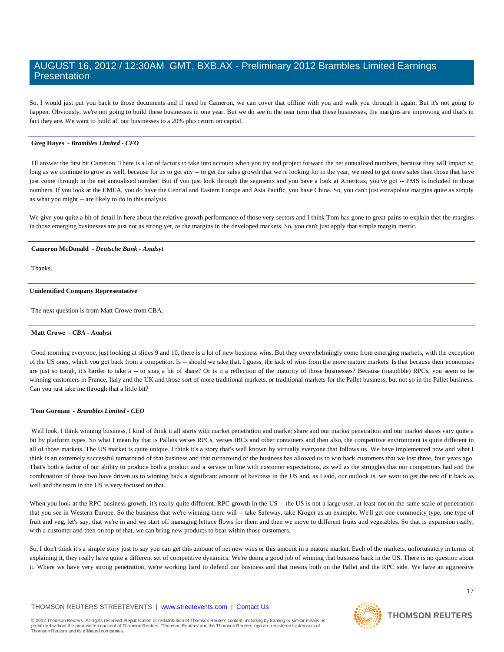So, I would just put you back to those documents and if need be Cameron, we can cover that offline with you and walk you through it again. But it's not going to happen. Obviously, we're not going to build these businesses in one year. But we do see in the near term that these businesses, the margins are improving and that's in fact they are. We want to build all our businesses to a 20% plus return on capital.

#### **Greg Hayes** *- Brambles Limited - CFO*

I'll answer the first bit Cameron. There is a lot of factors to take into account when you try and project forward the net annualised numbers, because they will impact so long as we continue to grow as well, because for us to get any -- to get the sales growth that we're looking for in the year, we need to get more sales than those that have just come through in the net annualised number. But if you just look through the segments and you have a look at Americas, you've got -- PMS is included in those numbers. If you look at the EMEA, you do have the Central and Eastern Europe and Asia Pacific, you have China. So, you can't just extrapolate margins quite as simply as what you might -- are likely to do in this analysis.

We give you quite a bit of detail in here about the relative growth performance of those very sectors and I think Tom has gone to great pains to explain that the margins in those emerging businesses are just not as strong yet, as the margins in the developed markets. So, you can't just apply that simple margin metric.

#### **Cameron McDonald** *- Deutsche Bank - Analsyt*

Thanks.

#### **Unidentified Company Representative**

The next question is from Matt Crowe from CBA.

#### **Matt Crowe** *- CBA - Analyst*

Good morning everyone, just looking at slides 9 and 10, there is a lot of new business wins. But they overwhelmingly come from emerging markets, with the exception of the US ones, which you got back from a competitor. Is -- should we take that, I guess, the lack of wins from the more mature markets. Is that because their economies are just so tough, it's harder to take a -- to snag a bit of share? Or is it a reflection of the maturity of those businesses? Because (inaudible) RPCs, you seem to be winning customers in France, Italy and the UK and those sort of more traditional markets, or traditional markets for the Pallet business, but not so in the Pallet business. Can you just take me through that a little bit?

#### **Tom Gorman** *- Brambles Limited - CEO*

Well look, I think winning business, I kind of think it all starts with market penetration and market penetration and our market shares vary quite a bit by platform types. So what I mean by that is Pallets verses RPCs, verses IBCs and other containers and then also, the competitive environment is quite different in all of those markets. The US market is quite unique. I think it's a story that's well known by virtually everyone that follows us. We have implemented now and what I think is an extremely successful turnaround of that business and that turnaround of the business has allowed us to win back customers that we lost three, four years ago. That's both a factor of our ability to produce both a product and a service in line with customer expectations, as well as the struggles that our competitors had and the combination of those two have driven us to winning back a significant amount of business in the US and, as I said, our outlook is, we want to get the rest of it back as well and the team in the US is very focused on that.

When you look at the RPC business growth, it's really quite different. RPC growth in the US -- the US is not a large user, at least not on the same scale of penetration that you see in Western Europe. So the business that we're winning there will -- take Safeway, take Kroger as an example. We'll get one commodity type, one type of fruit and veg, let's say, that we're in and we start off managing lettuce flows for them and then we move to different fruits and vegetables. So that is expansion really, with a customer and then on top of that, we can bring new products to bear within those customers.

So, I don't think it's a simple story just to say you can get this amount of net new wins or this amount in a mature market. Each of the markets, unfortunately in terms of explaining it, they really have quite a different set of competitive dynamics. We're doing a good job of winning that business back in the US. There is no question about it. Where we have very strong penetration, we're working hard to defend our business and that means both on the Pallet and the RPC side. We have an aggressive

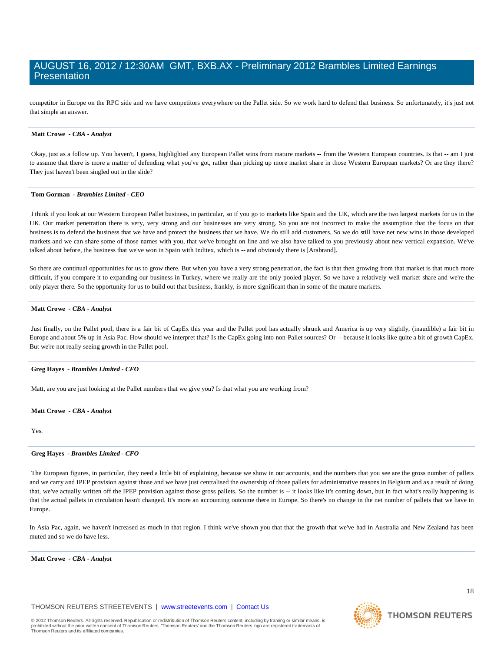competitor in Europe on the RPC side and we have competitors everywhere on the Pallet side. So we work hard to defend that business. So unfortunately, it's just not that simple an answer.

#### **Matt Crowe** *- CBA - Analyst*

Okay, just as a follow up. You haven't, I guess, highlighted any European Pallet wins from mature markets -- from the Western European countries. Is that -- am I just to assume that there is more a matter of defending what you've got, rather than picking up more market share in those Western European markets? Or are they there? They just haven't been singled out in the slide?

#### **Tom Gorman** *- Brambles Limited - CEO*

I think if you look at our Western European Pallet business, in particular, so if you go to markets like Spain and the UK, which are the two largest markets for us in the UK. Our market penetration there is very, very strong and our businesses are very strong. So you are not incorrect to make the assumption that the focus on that business is to defend the business that we have and protect the business that we have. We do still add customers. So we do still have net new wins in those developed markets and we can share some of those names with you, that we've brought on line and we also have talked to you previously about new vertical expansion. We've talked about before, the business that we've won in Spain with Inditex, which is -- and obviously there is [Arabrand].

So there are continual opportunities for us to grow there. But when you have a very strong penetration, the fact is that then growing from that market is that much more difficult, if you compare it to expanding our business in Turkey, where we really are the only pooled player. So we have a relatively well market share and we're the only player there. So the opportunity for us to build out that business, frankly, is more significant than in some of the mature markets.

#### **Matt Crowe** *- CBA - Analyst*

Just finally, on the Pallet pool, there is a fair bit of CapEx this year and the Pallet pool has actually shrunk and America is up very slightly, (inaudible) a fair bit in Europe and about 5% up in Asia Pac. How should we interpret that? Is the CapEx going into non-Pallet sources? Or -- because it looks like quite a bit of growth CapEx. But we're not really seeing growth in the Pallet pool.

#### **Greg Hayes** *- Brambles Limited - CFO*

Matt, are you are just looking at the Pallet numbers that we give you? Is that what you are working from?

#### **Matt Crowe** *- CBA - Analyst*

Yes.

#### **Greg Hayes** *- Brambles Limited - CFO*

The European figures, in particular, they need a little bit of explaining, because we show in our accounts, and the numbers that you see are the gross number of pallets and we carry and IPEP provision against those and we have just centralised the ownership of those pallets for administrative reasons in Belgium and as a result of doing that, we've actually written off the IPEP provision against those gross pallets. So the number is -- it looks like it's coming down, but in fact what's really happening is that the actual pallets in circulation hasn't changed. It's more an accounting outcome there in Europe. So there's no change in the net number of pallets that we have in Europe.

In Asia Pac, again, we haven't increased as much in that region. I think we've shown you that that the growth that we've had in Australia and New Zealand has been muted and so we do have less.

#### **Matt Crowe** *- CBA - Analyst*

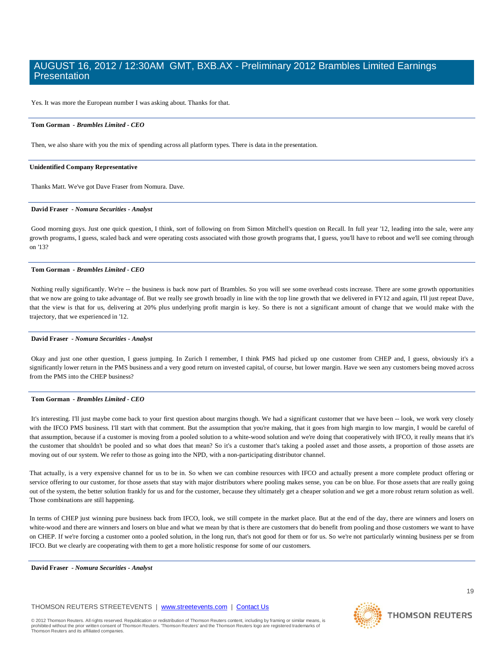Yes. It was more the European number I was asking about. Thanks for that.

#### **Tom Gorman** *- Brambles Limited - CEO*

Then, we also share with you the mix of spending across all platform types. There is data in the presentation.

#### **Unidentified Company Representative**

Thanks Matt. We've got Dave Fraser from Nomura. Dave.

#### **David Fraser** *- Nomura Securities - Analyst*

Good morning guys. Just one quick question, I think, sort of following on from Simon Mitchell's question on Recall. In full year '12, leading into the sale, were any growth programs, I guess, scaled back and were operating costs associated with those growth programs that, I guess, you'll have to reboot and we'll see coming through on '13?

#### **Tom Gorman** *- Brambles Limited - CEO*

Nothing really significantly. We're -- the business is back now part of Brambles. So you will see some overhead costs increase. There are some growth opportunities that we now are going to take advantage of. But we really see growth broadly in line with the top line growth that we delivered in FY12 and again, I'll just repeat Dave, that the view is that for us, delivering at 20% plus underlying profit margin is key. So there is not a significant amount of change that we would make with the trajectory, that we experienced in '12.

#### **David Fraser** *- Nomura Securities - Analyst*

Okay and just one other question, I guess jumping. In Zurich I remember, I think PMS had picked up one customer from CHEP and, I guess, obviously it's a significantly lower return in the PMS business and a very good return on invested capital, of course, but lower margin. Have we seen any customers being moved across from the PMS into the CHEP business?

#### **Tom Gorman** *- Brambles Limited - CEO*

It's interesting. I'll just maybe come back to your first question about margins though. We had a significant customer that we have been -- look, we work very closely with the IFCO PMS business. I'll start with that comment. But the assumption that you're making, that it goes from high margin to low margin, I would be careful of that assumption, because if a customer is moving from a pooled solution to a white-wood solution and we're doing that cooperatively with IFCO, it really means that it's the customer that shouldn't be pooled and so what does that mean? So it's a customer that's taking a pooled asset and those assets, a proportion of those assets are moving out of our system. We refer to those as going into the NPD, with a non-participating distributor channel.

That actually, is a very expensive channel for us to be in. So when we can combine resources with IFCO and actually present a more complete product offering or service offering to our customer, for those assets that stay with major distributors where pooling makes sense, you can be on blue. For those assets that are really going out of the system, the better solution frankly for us and for the customer, because they ultimately get a cheaper solution and we get a more robust return solution as well. Those combinations are still happening.

In terms of CHEP just winning pure business back from IFCO, look, we still compete in the market place. But at the end of the day, there are winners and losers on white-wood and there are winners and losers on blue and what we mean by that is there are customers that do benefit from pooling and those customers we want to have on CHEP. If we're forcing a customer onto a pooled solution, in the long run, that's not good for them or for us. So we're not particularly winning business per se from IFCO. But we clearly are cooperating with them to get a more holistic response for some of our customers.

**David Fraser** *- Nomura Securities - Analyst* 

#### THOMSON REUTERS STREETEVENTS | [www.streetevents.com](http://www.streetevents.com/) | [Contact Us](http://www010.streetevents.com/contact.asp)

© 2012 Thomson Reuters. All rights reserved. Republication or redistribution of Thomson Reuters content, including by framing or similar means, is<br>prohibited without the prior written consent of Thomson Reuters. 'Thomson R profits and the protection of Thomson Reuters. 'Thomson's members received consent, including by including of consent<br>ten consent of Thomson Reuters. 'Thomson Reuters' and the Thomson Reuters logo are registered trademar Thomson Reuters and its affiliated companies.

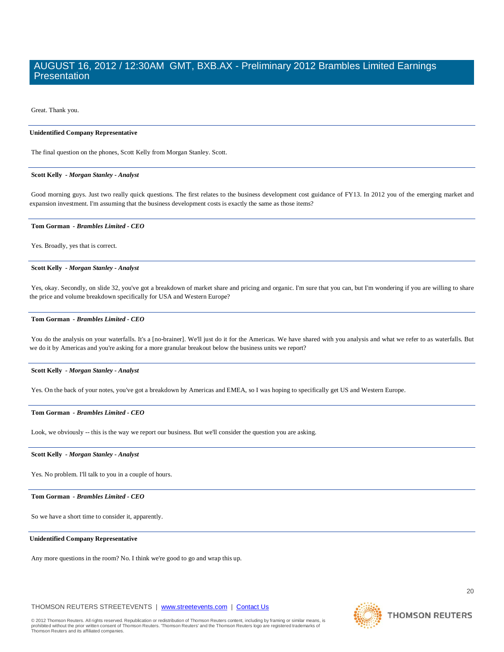Great. Thank you.

#### **Unidentified Company Representative**

The final question on the phones, Scott Kelly from Morgan Stanley. Scott.

#### **Scott Kelly** *- Morgan Stanley - Analyst*

Good morning guys. Just two really quick questions. The first relates to the business development cost guidance of FY13. In 2012 you of the emerging market and expansion investment. I'm assuming that the business development costs is exactly the same as those items?

#### **Tom Gorman** *- Brambles Limited - CEO*

Yes. Broadly, yes that is correct.

#### **Scott Kelly** *- Morgan Stanley - Analyst*

Yes, okay. Secondly, on slide 32, you've got a breakdown of market share and pricing and organic. I'm sure that you can, but I'm wondering if you are willing to share the price and volume breakdown specifically for USA and Western Europe?

#### **Tom Gorman** *- Brambles Limited - CEO*

You do the analysis on your waterfalls. It's a [no-brainer]. We'll just do it for the Americas. We have shared with you analysis and what we refer to as waterfalls. But we do it by Americas and you're asking for a more granular breakout below the business units we report?

#### **Scott Kelly** *- Morgan Stanley - Analyst*

Yes. On the back of your notes, you've got a breakdown by Americas and EMEA, so I was hoping to specifically get US and Western Europe.

#### **Tom Gorman** *- Brambles Limited - CEO*

Look, we obviously -- this is the way we report our business. But we'll consider the question you are asking.

#### **Scott Kelly** *- Morgan Stanley - Analyst*

Yes. No problem. I'll talk to you in a couple of hours.

#### **Tom Gorman** *- Brambles Limited - CEO*

So we have a short time to consider it, apparently.

#### **Unidentified Company Representative**

Any more questions in the room? No. I think we're good to go and wrap this up.